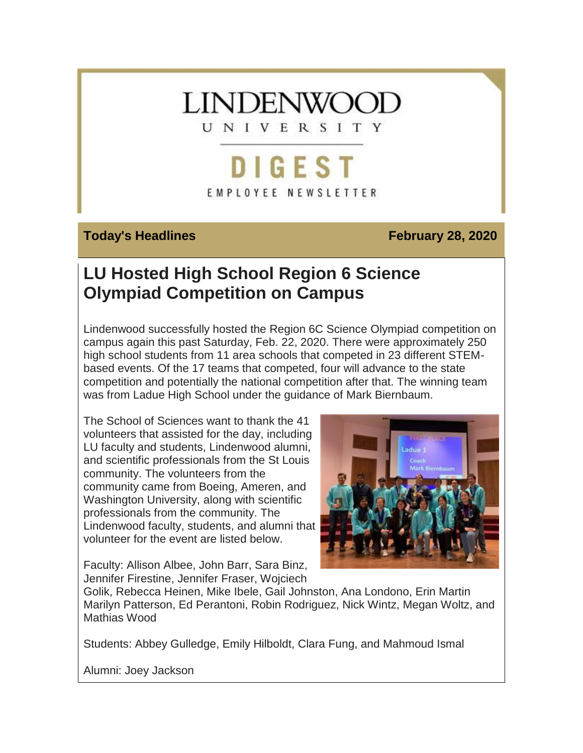# **LINDENWOOT**

UNIVERSITY

# **DIGEST** EMPLOYEE NEWSLETTER

## **Today's Headlines February 28, 2020**

# **LU Hosted High School Region 6 Science Olympiad Competition on Campus**

Lindenwood successfully hosted the Region 6C Science Olympiad competition on campus again this past Saturday, Feb. 22, 2020. There were approximately 250 high school students from 11 area schools that competed in 23 different STEMbased events. Of the 17 teams that competed, four will advance to the state competition and potentially the national competition after that. The winning team was from Ladue High School under the guidance of Mark Biernbaum.

The School of Sciences want to thank the 41 volunteers that assisted for the day, including LU faculty and students, Lindenwood alumni, and scientific professionals from the St Louis community. The volunteers from the community came from Boeing, Ameren, and Washington University, along with scientific professionals from the community. The Lindenwood faculty, students, and alumni that volunteer for the event are listed below.



Faculty: Allison Albee, John Barr, Sara Binz, Jennifer Firestine, Jennifer Fraser, Wojciech

Golik, Rebecca Heinen, Mike Ibele, Gail Johnston, Ana Londono, Erin Martin Marilyn Patterson, Ed Perantoni, Robin Rodriguez, Nick Wintz, Megan Woltz, and Mathias Wood

Students: Abbey Gulledge, Emily Hilboldt, Clara Fung, and Mahmoud Ismal

Alumni: Joey Jackson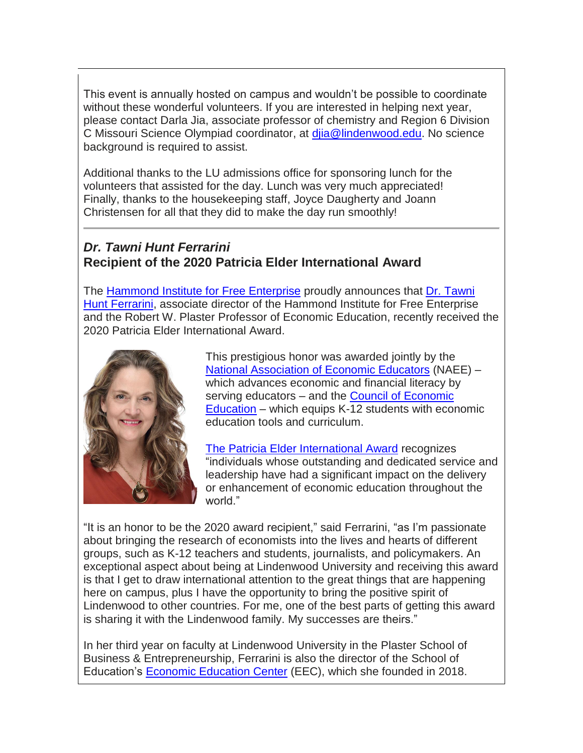This event is annually hosted on campus and wouldn't be possible to coordinate without these wonderful volunteers. If you are interested in helping next year, please contact Darla Jia, associate professor of chemistry and Region 6 Division C Missouri Science Olympiad coordinator, at [djia@lindenwood.edu.](mailto:djia@lindenwood.edu) No science background is required to assist.

Additional thanks to the LU admissions office for sponsoring lunch for the volunteers that assisted for the day. Lunch was very much appreciated! Finally, thanks to the housekeeping staff, Joyce Daugherty and Joann Christensen for all that they did to make the day run smoothly!

# *Dr. Tawni Hunt Ferrarini* **Recipient of the 2020 Patricia Elder International Award**

The **[Hammond](https://hes32-ctp.trendmicro.com/wis/clicktime/v1/query?url=https%3a%2f%2fcustapp.marketvolt.com%2flink%2fFtmYGki1Ls%3fCM%3d1471031041%26X%3d70525052&umid=7b084b19-d866-4589-b82b-44904f81dbb3&auth=bc7ac43e330fa629f0cfb11786c85e83c10d06b8-e4ceffc8c47ee985efd7b20708e6bea8d7b5a3c9) Institute for Free Enterprise** proudly announces that **Dr. [Tawni](https://hes32-ctp.trendmicro.com/wis/clicktime/v1/query?url=https%3a%2f%2fcustapp.marketvolt.com%2flink%2fzgvUYFFcaC%3fCM%3d1471031041%26X%3d70525052&umid=7b084b19-d866-4589-b82b-44904f81dbb3&auth=bc7ac43e330fa629f0cfb11786c85e83c10d06b8-a1fad2da69896bd8b5a44cbdc148d9d8070b483f)** Hunt [Ferrarini,](https://hes32-ctp.trendmicro.com/wis/clicktime/v1/query?url=https%3a%2f%2fcustapp.marketvolt.com%2flink%2fzgvUYFFcaC%3fCM%3d1471031041%26X%3d70525052&umid=7b084b19-d866-4589-b82b-44904f81dbb3&auth=bc7ac43e330fa629f0cfb11786c85e83c10d06b8-a1fad2da69896bd8b5a44cbdc148d9d8070b483f) associate director of the Hammond Institute for Free Enterprise and the Robert W. Plaster Professor of Economic Education, recently received the 2020 Patricia Elder International Award.



This prestigious honor was awarded jointly by the National [Association](https://hes32-ctp.trendmicro.com/wis/clicktime/v1/query?url=https%3a%2f%2fcustapp.marketvolt.com%2flink%2f6HNrtSmYwZ%3fCM%3d1471031041%26X%3d70525052&umid=7b084b19-d866-4589-b82b-44904f81dbb3&auth=bc7ac43e330fa629f0cfb11786c85e83c10d06b8-0ec91e2972e7f967546a45fc00c48f99f5de39f9) of Economic Educators (NAEE) – which advances economic and financial literacy by serving educators – and the Council of [Economic](https://hes32-ctp.trendmicro.com/wis/clicktime/v1/query?url=https%3a%2f%2fcustapp.marketvolt.com%2flink%2fVe5WAnCaHx%3fCM%3d1471031041%26X%3d70525052&umid=7b084b19-d866-4589-b82b-44904f81dbb3&auth=bc7ac43e330fa629f0cfb11786c85e83c10d06b8-6e55b96b94bf3e17096994abffa2d1fab9f723cb) [Education](https://hes32-ctp.trendmicro.com/wis/clicktime/v1/query?url=https%3a%2f%2fcustapp.marketvolt.com%2flink%2fVe5WAnCaHx%3fCM%3d1471031041%26X%3d70525052&umid=7b084b19-d866-4589-b82b-44904f81dbb3&auth=bc7ac43e330fa629f0cfb11786c85e83c10d06b8-6e55b96b94bf3e17096994abffa2d1fab9f723cb) – which equips K-12 students with economic education tools and curriculum.

The Patricia Elder [International](https://hes32-ctp.trendmicro.com/wis/clicktime/v1/query?url=https%3a%2f%2fcustapp.marketvolt.com%2flink%2fRbduPXqQSz%3fCM%3d1471031041%26X%3d70525052&umid=7b084b19-d866-4589-b82b-44904f81dbb3&auth=bc7ac43e330fa629f0cfb11786c85e83c10d06b8-58dcec85ccb72a71687f4a577c8fd2b406bd5794) Award recognizes "individuals whose outstanding and dedicated service and leadership have had a significant impact on the delivery or enhancement of economic education throughout the world."

"It is an honor to be the 2020 award recipient," said Ferrarini, "as I'm passionate about bringing the research of economists into the lives and hearts of different groups, such as K-12 teachers and students, journalists, and policymakers. An exceptional aspect about being at Lindenwood University and receiving this award is that I get to draw international attention to the great things that are happening here on campus, plus I have the opportunity to bring the positive spirit of Lindenwood to other countries. For me, one of the best parts of getting this award is sharing it with the Lindenwood family. My successes are theirs."

In her third year on faculty at Lindenwood University in the Plaster School of Business & Entrepreneurship, Ferrarini is also the director of the School of Education's Economic [Education](https://hes32-ctp.trendmicro.com/wis/clicktime/v1/query?url=https%3a%2f%2fcustapp.marketvolt.com%2flink%2fqovFSLomuW%3fCM%3d1471031041%26X%3d70525052&umid=7b084b19-d866-4589-b82b-44904f81dbb3&auth=bc7ac43e330fa629f0cfb11786c85e83c10d06b8-49d3eb9c1c0eaf2142f8ca2089ef84af49630d59) Center (EEC), which she founded in 2018.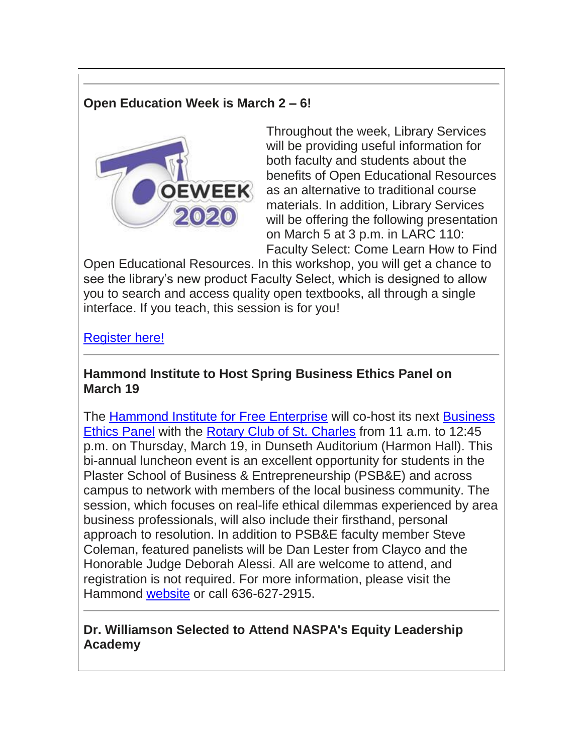# **Open Education Week is March 2 – 6!**



Throughout the week, Library Services will be providing useful information for both faculty and students about the benefits of Open Educational Resources as an alternative to traditional course materials. In addition, Library Services will be offering the following presentation on March 5 at 3 p.m. in LARC 110: Faculty Select: Come Learn How to Find

Open Educational Resources. In this workshop, you will get a chance to see the library's new product Faculty Select, which is designed to allow you to search and access quality open textbooks, all through a single interface. If you teach, this session is for you!

## [Register here!](https://hes32-ctp.trendmicro.com/wis/clicktime/v1/query?url=https%3a%2f%2fcustapp.marketvolt.com%2flink%2f19cEufnFtT%3fCM%3d1471031041%26X%3d70525052&umid=7b084b19-d866-4589-b82b-44904f81dbb3&auth=bc7ac43e330fa629f0cfb11786c85e83c10d06b8-9bc4757c2a74402010e7558b6f745f3afb9e535f)

#### **Hammond Institute to Host Spring Business Ethics Panel on March 19**

The [Hammond Institute for Free Enterprise](https://hes32-ctp.trendmicro.com/wis/clicktime/v1/query?url=https%3a%2f%2fcustapp.marketvolt.com%2flink%2fFtmYGki1Ls%3fCM%3d1471031041%26X%3d70525052&umid=7b084b19-d866-4589-b82b-44904f81dbb3&auth=bc7ac43e330fa629f0cfb11786c85e83c10d06b8-e4ceffc8c47ee985efd7b20708e6bea8d7b5a3c9) will co-host its next [Business](https://hes32-ctp.trendmicro.com/wis/clicktime/v1/query?url=https%3a%2f%2fcustapp.marketvolt.com%2flink%2fXhZpuWZDIg%3fCM%3d1471031041%26X%3d70525052&umid=7b084b19-d866-4589-b82b-44904f81dbb3&auth=bc7ac43e330fa629f0cfb11786c85e83c10d06b8-0223b305663f742337ebe02d1253b14b0a3be8ce)  [Ethics Panel](https://hes32-ctp.trendmicro.com/wis/clicktime/v1/query?url=https%3a%2f%2fcustapp.marketvolt.com%2flink%2fXhZpuWZDIg%3fCM%3d1471031041%26X%3d70525052&umid=7b084b19-d866-4589-b82b-44904f81dbb3&auth=bc7ac43e330fa629f0cfb11786c85e83c10d06b8-0223b305663f742337ebe02d1253b14b0a3be8ce) with the [Rotary Club of St. Charles](https://hes32-ctp.trendmicro.com/wis/clicktime/v1/query?url=https%3a%2f%2fcustapp.marketvolt.com%2flink%2ffq5wreGUdG%3fCM%3d1471031041%26X%3d70525052&umid=7b084b19-d866-4589-b82b-44904f81dbb3&auth=bc7ac43e330fa629f0cfb11786c85e83c10d06b8-91ecee0fb8a6ce6f912f60b5dff874f38952855c) from 11 a.m. to 12:45 p.m. on Thursday, March 19, in Dunseth Auditorium (Harmon Hall). This bi-annual luncheon event is an excellent opportunity for students in the Plaster School of Business & Entrepreneurship (PSB&E) and across campus to network with members of the local business community. The session, which focuses on real-life ethical dilemmas experienced by area business professionals, will also include their firsthand, personal approach to resolution. In addition to PSB&E faculty member Steve Coleman, featured panelists will be Dan Lester from Clayco and the Honorable Judge Deborah Alessi. All are welcome to attend, and registration is not required. For more information, please visit the Hammond [website](https://hes32-ctp.trendmicro.com/wis/clicktime/v1/query?url=https%3a%2f%2fcustapp.marketvolt.com%2flink%2f99vUVNLFFZ%3fCM%3d1471031041%26X%3d70525052&umid=7b084b19-d866-4589-b82b-44904f81dbb3&auth=bc7ac43e330fa629f0cfb11786c85e83c10d06b8-9422e94926bc92093fb863fd0657d3a374cbd97d) or call 636-627-2915.

## **Dr. Williamson Selected to Attend NASPA's Equity Leadership Academy**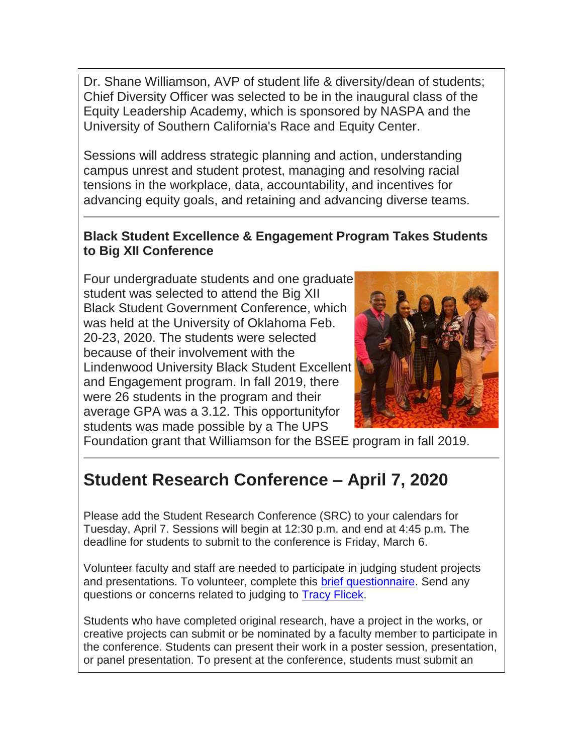Dr. Shane Williamson, AVP of student life & diversity/dean of students; Chief Diversity Officer was selected to be in the inaugural class of the Equity Leadership Academy, which is sponsored by NASPA and the University of Southern California's Race and Equity Center.

Sessions will address strategic planning and action, understanding campus unrest and student protest, managing and resolving racial tensions in the workplace, data, accountability, and incentives for advancing equity goals, and retaining and advancing diverse teams.

## **Black Student Excellence & Engagement Program Takes Students to Big XII Conference**

Four undergraduate students and one graduate student was selected to attend the Big XII Black Student Government Conference, which was held at the University of Oklahoma Feb. 20-23, 2020. The students were selected because of their involvement with the Lindenwood University Black Student Excellent and Engagement program. In fall 2019, there were 26 students in the program and their average GPA was a 3.12. This opportunityfor students was made possible by a The UPS



Foundation grant that Williamson for the BSEE program in fall 2019.

# **Student Research Conference – April 7, 2020**

Please add the Student Research Conference (SRC) to your calendars for Tuesday, April 7. Sessions will begin at 12:30 p.m. and end at 4:45 p.m. The deadline for students to submit to the conference is Friday, March 6.

Volunteer faculty and staff are needed to participate in judging student projects and presentations. To volunteer, complete this [brief questionnaire.](https://hes32-ctp.trendmicro.com/wis/clicktime/v1/query?url=https%3a%2f%2fcustapp.marketvolt.com%2flink%2fvsWrvFofye%3fCM%3d1471031041%26X%3d70525052&umid=7b084b19-d866-4589-b82b-44904f81dbb3&auth=bc7ac43e330fa629f0cfb11786c85e83c10d06b8-8000bcc6b9f19e97b0d73b43c3e2d1e87d8896a8) Send any questions or concerns related to judging to [Tracy Flicek.](mailto:tflicek@lindenwood.edu)

Students who have completed original research, have a project in the works, or creative projects can submit or be nominated by a faculty member to participate in the conference. Students can present their work in a poster session, presentation, or panel presentation. To present at the conference, students must submit an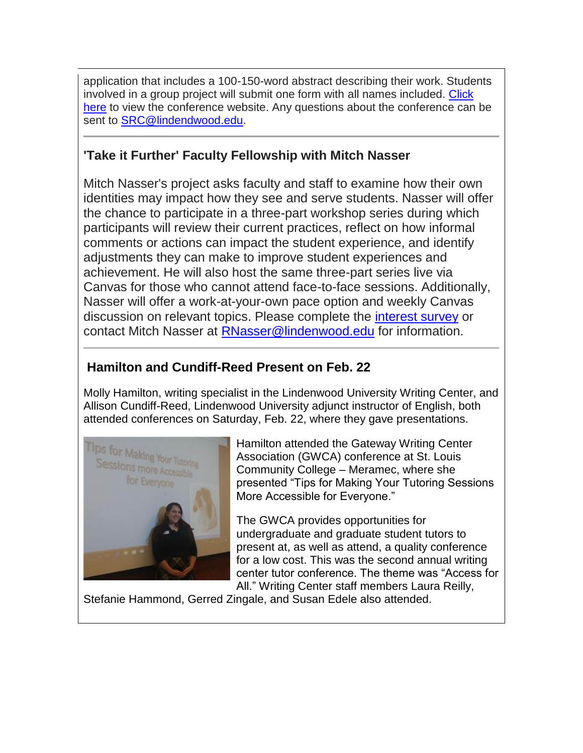application that includes a 100-150-word abstract describing their work. Students involved in a group project will submit one form with all names included. [Click](https://hes32-ctp.trendmicro.com/wis/clicktime/v1/query?url=https%3a%2f%2fcustapp.marketvolt.com%2flink%2fqwGf1KwKBq%3fCM%3d1471031041%26X%3d70525052&umid=7b084b19-d866-4589-b82b-44904f81dbb3&auth=bc7ac43e330fa629f0cfb11786c85e83c10d06b8-5f81fbfa784e33e9d44b9107e5c21d54cbc9db77)  [here](https://hes32-ctp.trendmicro.com/wis/clicktime/v1/query?url=https%3a%2f%2fcustapp.marketvolt.com%2flink%2fqwGf1KwKBq%3fCM%3d1471031041%26X%3d70525052&umid=7b084b19-d866-4589-b82b-44904f81dbb3&auth=bc7ac43e330fa629f0cfb11786c85e83c10d06b8-5f81fbfa784e33e9d44b9107e5c21d54cbc9db77) to view the conference website. Any questions about the conference can be sent to [SRC@lindendwood.edu.](mailto:SRC@lindendwood.edu)

# **'Take it Further' Faculty Fellowship with Mitch Nasser**

Mitch Nasser's project asks faculty and staff to examine how their own identities may impact how they see and serve students. Nasser will offer the chance to participate in a three-part workshop series during which participants will review their current practices, reflect on how informal comments or actions can impact the student experience, and identify adjustments they can make to improve student experiences and achievement. He will also host the same three-part series live via Canvas for those who cannot attend face-to-face sessions. Additionally, Nasser will offer a work-at-your-own pace option and weekly Canvas discussion on relevant topics. Please complete the [interest survey](https://hes32-ctp.trendmicro.com/wis/clicktime/v1/query?url=https%3a%2f%2fcustapp.marketvolt.com%2flink%2fzVxc8ppFcS%3fCM%3d1471031041%26X%3d70525052&umid=7b084b19-d866-4589-b82b-44904f81dbb3&auth=bc7ac43e330fa629f0cfb11786c85e83c10d06b8-9f140928cea5d01f07d09b454a0a88ae48e8a0f5) or contact Mitch Nasser at [RNasser@lindenwood.edu](mailto:RNasser@lindenwood.edu) for information.

## **Hamilton and Cundiff-Reed Present on Feb. 22**

Molly Hamilton, writing specialist in the Lindenwood University Writing Center, and Allison Cundiff-Reed, Lindenwood University adjunct instructor of English, both attended conferences on Saturday, Feb. 22, where they gave presentations.



Hamilton attended the Gateway Writing Center Association (GWCA) conference at St. Louis Community College – Meramec, where she presented "Tips for Making Your Tutoring Sessions More Accessible for Everyone."

The GWCA provides opportunities for undergraduate and graduate student tutors to present at, as well as attend, a quality conference for a low cost. This was the second annual writing center tutor conference. The theme was "Access for All." Writing Center staff members Laura Reilly,

Stefanie Hammond, Gerred Zingale, and Susan Edele also attended.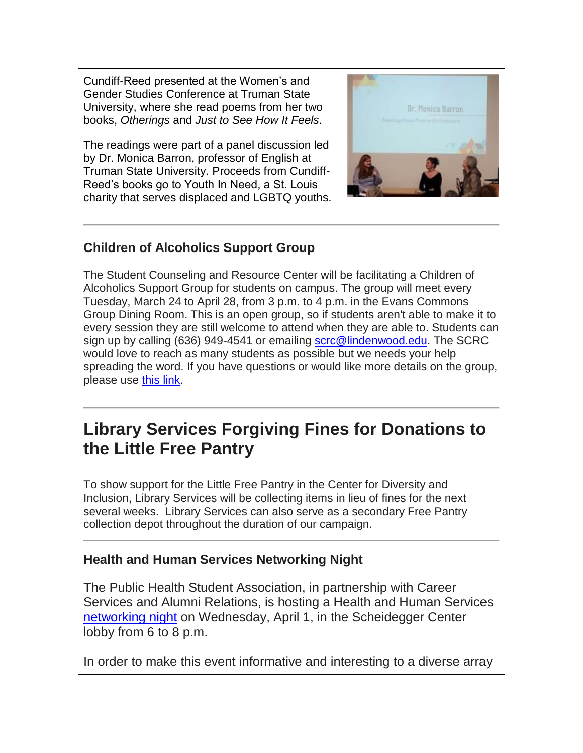Cundiff-Reed presented at the Women's and Gender Studies Conference at Truman State University, where she read poems from her two books, *Otherings* and *Just to See How It Feels*.

The readings were part of a panel discussion led by Dr. Monica Barron, professor of English at Truman State University. Proceeds from Cundiff-Reed's books go to Youth In Need, a St. Louis charity that serves displaced and LGBTQ youths.



# **Children of Alcoholics Support Group**

The Student Counseling and Resource Center will be facilitating a Children of Alcoholics Support Group for students on campus. The group will meet every Tuesday, March 24 to April 28, from 3 p.m. to 4 p.m. in the Evans Commons Group Dining Room. This is an open group, so if students aren't able to make it to every session they are still welcome to attend when they are able to. Students can sign up by calling (636) 949-4541 or emailing [scrc@lindenwood.edu.](mailto:scrc@lindenwood.edu) The SCRC would love to reach as many students as possible but we needs your help spreading the word. If you have questions or would like more details on the group, please use [this link.](https://hes32-ctp.trendmicro.com/wis/clicktime/v1/query?url=https%3a%2f%2fcustapp.marketvolt.com%2flink%2f3VS5kgtYZZ%3fCM%3d1471031041%26X%3d70525052&umid=7b084b19-d866-4589-b82b-44904f81dbb3&auth=bc7ac43e330fa629f0cfb11786c85e83c10d06b8-72b67ff762b3eac952eeb340ed7154672a2f1608)

# **Library Services Forgiving Fines for Donations to the Little Free Pantry**

To show support for the Little Free Pantry in the Center for Diversity and Inclusion, Library Services will be collecting items in lieu of fines for the next several weeks. Library Services can also serve as a secondary Free Pantry collection depot throughout the duration of our campaign.

# **Health and Human Services Networking Night**

The Public Health Student Association, in partnership with Career Services and Alumni Relations, is hosting a Health and Human Services [networking night](https://hes32-ctp.trendmicro.com/wis/clicktime/v1/query?url=https%3a%2f%2fcustapp.marketvolt.com%2flink%2ftQb4uf25RF%3fCM%3d1471031041%26X%3d70525052&umid=7b084b19-d866-4589-b82b-44904f81dbb3&auth=bc7ac43e330fa629f0cfb11786c85e83c10d06b8-cc795bad35539349f87c1e0a8719a33130968276) on Wednesday, April 1, in the Scheidegger Center lobby from 6 to 8 p.m.

In order to make this event informative and interesting to a diverse array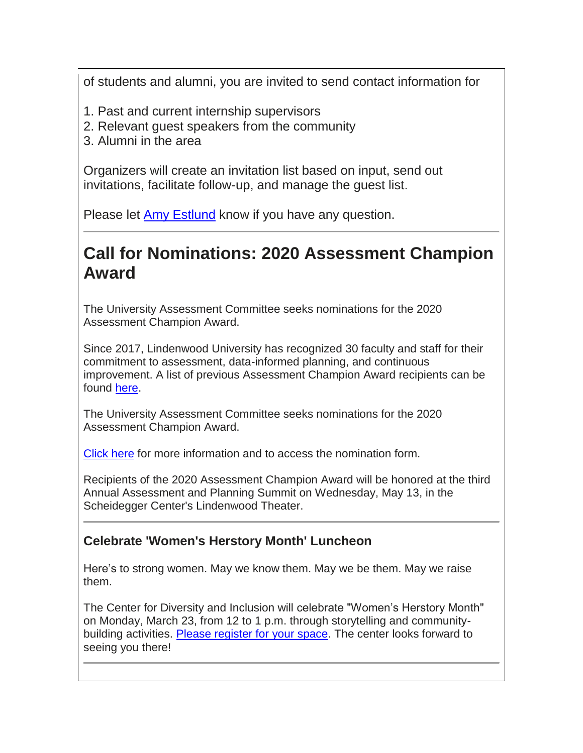of students and alumni, you are invited to send contact information for

- 1. Past and current internship supervisors
- 2. Relevant guest speakers from the community
- 3. Alumni in the area

Organizers will create an invitation list based on input, send out invitations, facilitate follow-up, and manage the guest list.

Please let [Amy Estlund](mailto:estlund@lindenwood.edu) know if you have any question.

# **Call for Nominations: 2020 Assessment Champion Award**

The University Assessment Committee seeks nominations for the 2020 Assessment Champion Award.

Since 2017, Lindenwood University has recognized 30 faculty and staff for their commitment to assessment, data-informed planning, and continuous improvement. A list of previous Assessment Champion Award recipients can be found [here.](https://hes32-ctp.trendmicro.com/wis/clicktime/v1/query?url=https%3a%2f%2fcustapp.marketvolt.com%2flink%2fPkkIcXFe9d%3fCM%3d1471031041%26X%3d70525052&umid=7b084b19-d866-4589-b82b-44904f81dbb3&auth=bc7ac43e330fa629f0cfb11786c85e83c10d06b8-a9754d1540f25591d6adf3eedea90f259cad7454)

The University Assessment Committee seeks nominations for the 2020 Assessment Champion Award.

[Click here](https://hes32-ctp.trendmicro.com/wis/clicktime/v1/query?url=https%3a%2f%2fcustapp.marketvolt.com%2flink%2fPkkIcXFe9d%3fCM%3d1471031041%26X%3d70525052&umid=7b084b19-d866-4589-b82b-44904f81dbb3&auth=bc7ac43e330fa629f0cfb11786c85e83c10d06b8-a9754d1540f25591d6adf3eedea90f259cad7454) for more information and to access the nomination form.

Recipients of the 2020 Assessment Champion Award will be honored at the third Annual Assessment and Planning Summit on Wednesday, May 13, in the Scheidegger Center's Lindenwood Theater.

## **Celebrate 'Women's Herstory Month' Luncheon**

Here's to strong women. May we know them. May we be them. May we raise them.

The Center for Diversity and Inclusion will celebrate "Women's Herstory Month" on Monday, March 23, from 12 to 1 p.m. through storytelling and communitybuilding activities. [Please register for your space.](https://hes32-ctp.trendmicro.com/wis/clicktime/v1/query?url=https%3a%2f%2fcustapp.marketvolt.com%2flink%2fmmdKenocSF%3fCM%3d1471031041%26X%3d70525052&umid=7b084b19-d866-4589-b82b-44904f81dbb3&auth=bc7ac43e330fa629f0cfb11786c85e83c10d06b8-a208eead435cee39ddea10a374b6f1e18269415a) The center looks forward to seeing you there!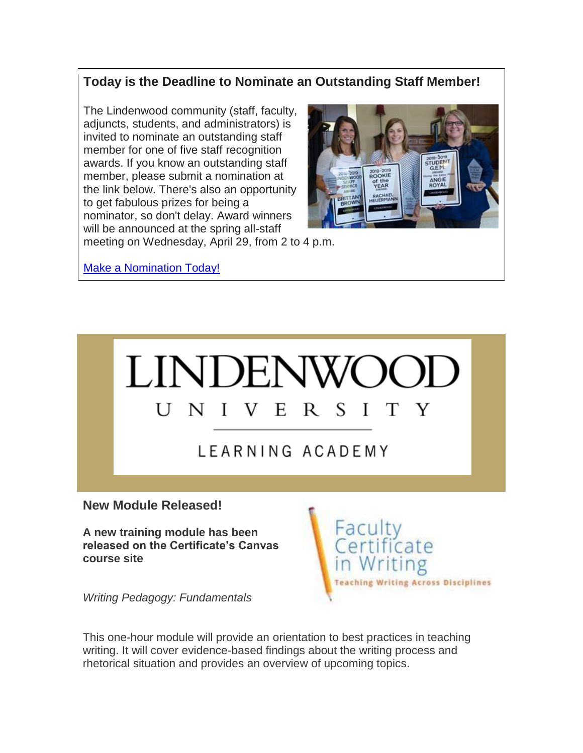# **Today is the Deadline to Nominate an Outstanding Staff Member!**

The Lindenwood community (staff, faculty, adjuncts, students, and administrators) is invited to nominate an outstanding staff member for one of five staff recognition awards. If you know an outstanding staff member, please submit a nomination at the link below. There's also an opportunity to get fabulous prizes for being a nominator, so don't delay. Award winners will be announced at the spring all-staff



meeting on Wednesday, April 29, from 2 to 4 p.m.

[Make a Nomination Today!](https://hes32-ctp.trendmicro.com/wis/clicktime/v1/query?url=https%3a%2f%2fcustapp.marketvolt.com%2flink%2f7v7Fm6GFfT%3fCM%3d1471031041%26X%3d70525052&umid=7b084b19-d866-4589-b82b-44904f81dbb3&auth=bc7ac43e330fa629f0cfb11786c85e83c10d06b8-abf146107bc1cddf454d7cb64543e5772d50c4e9)



LEARNING ACADEMY

**New Module Released!** 

**A new training module has been released on the Certificate's Canvas course site**

*Writing Pedagogy: Fundamentals*



This one-hour module will provide an orientation to best practices in teaching writing. It will cover evidence-based findings about the writing process and rhetorical situation and provides an overview of upcoming topics.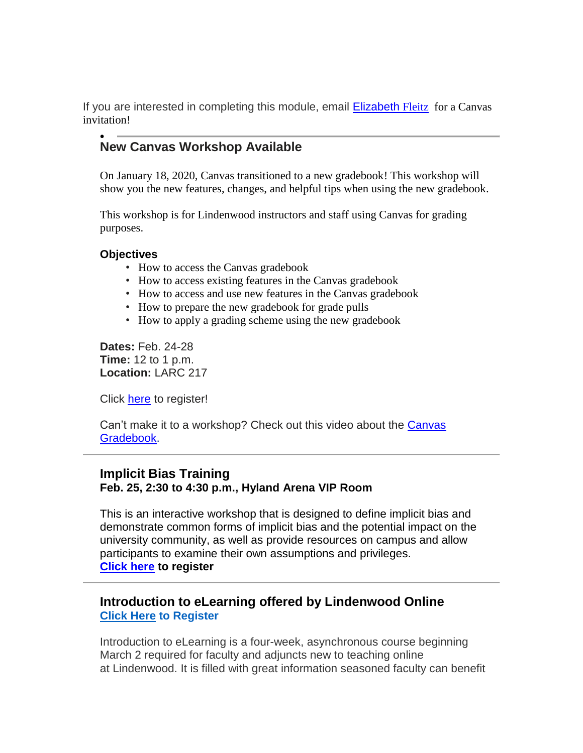If you are interested in completing this module, email [Elizabeth](mailto:efleitz@lindenwood.edu) [Fleitz](mailto:efleitz@lindenwood.edu) for a Canvas invitation!

#### $\bullet$ **New Canvas Workshop Available**

On January 18, 2020, Canvas transitioned to a new gradebook! This workshop will show you the new features, changes, and helpful tips when using the new gradebook.

This workshop is for Lindenwood instructors and staff using Canvas for grading purposes.

#### **Objectives**

- How to access the Canvas gradebook
- How to access existing features in the Canvas gradebook
- How to access and use new features in the Canvas gradebook
- How to prepare the new gradebook for grade pulls
- How to apply a grading scheme using the new gradebook

**Dates:** Feb. 24-28 **Time:** 12 to 1 p.m. **Location:** LARC 217

Click [here](https://hes32-ctp.trendmicro.com/wis/clicktime/v1/query?url=https%3a%2f%2fcustapp.marketvolt.com%2flink%2fmmdKenocSF%3fCM%3d1471031041%26X%3d70525052&umid=7b084b19-d866-4589-b82b-44904f81dbb3&auth=bc7ac43e330fa629f0cfb11786c85e83c10d06b8-a208eead435cee39ddea10a374b6f1e18269415a) to register!

Can't make it to a workshop? Check out this video about the [Canvas](https://hes32-ctp.trendmicro.com/wis/clicktime/v1/query?url=https%3a%2f%2fcustapp.marketvolt.com%2flink%2fDcfFiu17Wf%3fCM%3d1471031041%26X%3d70525052&umid=7b084b19-d866-4589-b82b-44904f81dbb3&auth=bc7ac43e330fa629f0cfb11786c85e83c10d06b8-ad5811f9519fde7e6246b56af0809324b6477dd9) [Gradebook.](https://hes32-ctp.trendmicro.com/wis/clicktime/v1/query?url=https%3a%2f%2fcustapp.marketvolt.com%2flink%2fDcfFiu17Wf%3fCM%3d1471031041%26X%3d70525052&umid=7b084b19-d866-4589-b82b-44904f81dbb3&auth=bc7ac43e330fa629f0cfb11786c85e83c10d06b8-ad5811f9519fde7e6246b56af0809324b6477dd9)

#### **Implicit Bias Training**

#### **Feb. 25, 2:30 to 4:30 p.m., Hyland Arena VIP Room**

This is an interactive workshop that is designed to define implicit bias and demonstrate common forms of implicit bias and the potential impact on the university community, as well as provide resources on campus and allow participants to examine their own assumptions and privileges. **[Click](https://hes32-ctp.trendmicro.com/wis/clicktime/v1/query?url=https%3a%2f%2fcustapp.marketvolt.com%2flink%2fXvFQsMteyH%3fCM%3d1471031041%26X%3d70525052&umid=7b084b19-d866-4589-b82b-44904f81dbb3&auth=bc7ac43e330fa629f0cfb11786c85e83c10d06b8-8970b8cbf171ffdd374a75448c33b3d9de11a8bb) here to register**

#### **Introduction to eLearning offered by Lindenwood Online [Click Here](https://hes32-ctp.trendmicro.com/wis/clicktime/v1/query?url=https%3a%2f%2fcustapp.marketvolt.com%2flink%2fmmdKenocSF%3fCM%3d1471031041%26X%3d70525052&umid=7b084b19-d866-4589-b82b-44904f81dbb3&auth=bc7ac43e330fa629f0cfb11786c85e83c10d06b8-a208eead435cee39ddea10a374b6f1e18269415a) to Register**

Introduction to eLearning is a four-week, asynchronous course beginning March 2 required for faculty and adjuncts new to teaching online at Lindenwood. It is filled with great information seasoned faculty can benefit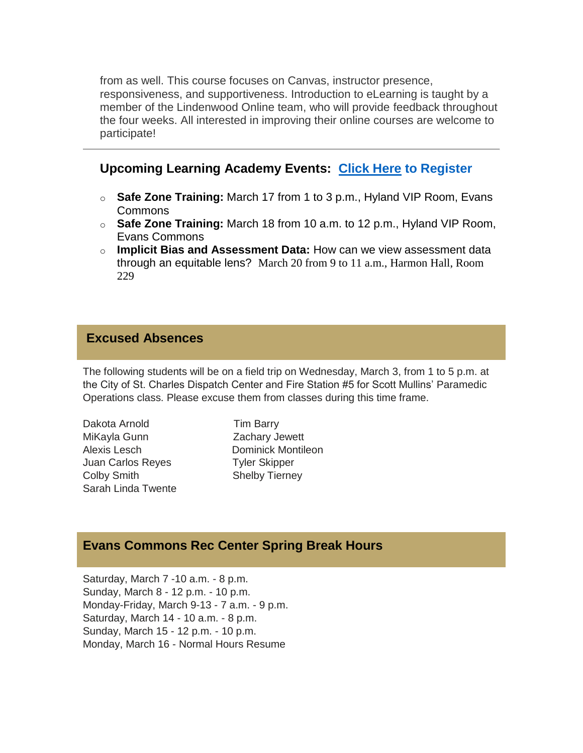from as well. This course focuses on Canvas, instructor presence, responsiveness, and supportiveness. Introduction to eLearning is taught by a member of the Lindenwood Online team, who will provide feedback throughout the four weeks. All interested in improving their online courses are welcome to participate!

## **Upcoming Learning Academy Events: [Click Here](https://hes32-ctp.trendmicro.com/wis/clicktime/v1/query?url=https%3a%2f%2fcustapp.marketvolt.com%2flink%2fmmdKenocSF%3fCM%3d1471031041%26X%3d70525052&umid=7b084b19-d866-4589-b82b-44904f81dbb3&auth=bc7ac43e330fa629f0cfb11786c85e83c10d06b8-a208eead435cee39ddea10a374b6f1e18269415a) to Register**

- o **Safe Zone Training:** March 17 from 1 to 3 p.m., Hyland VIP Room, Evans Commons
- o **Safe Zone Training:** March 18 from 10 a.m. to 12 p.m., Hyland VIP Room, Evans Commons
- o **Implicit Bias and Assessment Data:** How can we view assessment data through an equitable lens? March 20 from 9 to 11 a.m., Harmon Hall, Room 229

#### **Excused Absences**

The following students will be on a field trip on Wednesday, March 3, from 1 to 5 p.m. at the City of St. Charles Dispatch Center and Fire Station #5 for Scott Mullins' Paramedic Operations class. Please excuse them from classes during this time frame.

Dakota Arnold Tim Barry MiKayla Gunn Zachary Jewett Alexis Lesch Dominick Montileon Juan Carlos Reyes Tyler Skipper Colby Smith Shelby Tierney Sarah Linda Twente

#### **Evans Commons Rec Center Spring Break Hours**

Saturday, March 7 -10 a.m. - 8 p.m. Sunday, March 8 - 12 p.m. - 10 p.m. Monday-Friday, March 9-13 - 7 a.m. - 9 p.m. Saturday, March 14 - 10 a.m. - 8 p.m. Sunday, March 15 - 12 p.m. - 10 p.m. Monday, March 16 - Normal Hours Resume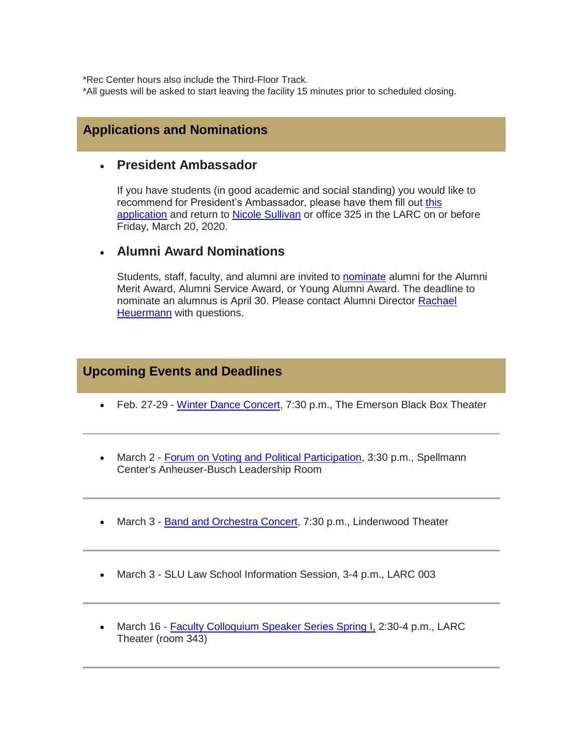\*Rec Center hours also include the Third-Floor Track.

\*All guests will be asked to start leaving the facility 15 minutes prior to scheduled closing.

#### **Applications and Nominations**

#### **President Ambassador**

If you have students (in good academic and social standing) you would like to recommend for President's Ambassador, please have them fill out this [application](https://hes32-ctp.trendmicro.com/wis/clicktime/v1/query?url=https%3a%2f%2fcustapp.marketvolt.com%2flink%2fsRL8Cclpee%3fCM%3d1471031041%26X%3d70525052&umid=7b084b19-d866-4589-b82b-44904f81dbb3&auth=bc7ac43e330fa629f0cfb11786c85e83c10d06b8-b2cfa233fee23b7d48d790be29af1821b29173d1) and return to [Nicole Sullivan](mailto:nsullivan@lindenwood.edu) or office 325 in the LARC on or before Friday, March 20, 2020.

#### **Alumni Award Nominations**

Students, staff, faculty, and alumni are invited to **[nominate](https://hes32-ctp.trendmicro.com/wis/clicktime/v1/query?url=https%3a%2f%2fcustapp.marketvolt.com%2flink%2fg38w8CcQRF%3fCM%3d1471031041%26X%3d70525052&umid=7b084b19-d866-4589-b82b-44904f81dbb3&auth=bc7ac43e330fa629f0cfb11786c85e83c10d06b8-d8262f58e58b7235218a4a3d1172cbc764ff6769)** alumni for the Alumni Merit Award, Alumni Service Award, or Young Alumni Award. The deadline to nominate an alumnus is April 30. Please contact Alumni Director [Rachael](mailto:rheuermann@lindenwood.edu)  [Heuermann](mailto:rheuermann@lindenwood.edu) with questions.

#### **Upcoming Events and Deadlines**

- Feb. 27-29 [Winter Dance Concert,](https://hes32-ctp.trendmicro.com/wis/clicktime/v1/query?url=https%3a%2f%2fcustapp.marketvolt.com%2flink%2fePqonVqN6B%3fCM%3d1471031041%26X%3d70525052&umid=7b084b19-d866-4589-b82b-44904f81dbb3&auth=bc7ac43e330fa629f0cfb11786c85e83c10d06b8-a11c8f60224b388a838d9c81a5f05e75d33d1581) 7:30 p.m., The Emerson Black Box Theater
- March 2 [Forum on Voting and Political Participation,](https://hes32-ctp.trendmicro.com/wis/clicktime/v1/query?url=https%3a%2f%2fcustapp.marketvolt.com%2flink%2fVTvfYeMnZH%3fCM%3d1471031041%26X%3d70525052&umid=7b084b19-d866-4589-b82b-44904f81dbb3&auth=bc7ac43e330fa629f0cfb11786c85e83c10d06b8-fd06747e0680e3582cd1353cd3b53e5e6c44b8a7) 3:30 p.m., Spellmann Center's Anheuser-Busch Leadership Room
- March 3 [Band and Orchestra Concert,](https://hes32-ctp.trendmicro.com/wis/clicktime/v1/query?url=https%3a%2f%2fcustapp.marketvolt.com%2flink%2fdHYIafafrb%3fCM%3d1471031041%26X%3d70525052&umid=7b084b19-d866-4589-b82b-44904f81dbb3&auth=bc7ac43e330fa629f0cfb11786c85e83c10d06b8-b24d1386252d686039bd081b37ee432e03410b2b) 7:30 p.m., Lindenwood Theater
- March 3 SLU Law School Information Session, 3-4 p.m., LARC 003
- March 16 [Faculty Colloquium Speaker Series Spring I,](https://hes32-ctp.trendmicro.com/wis/clicktime/v1/query?url=https%3a%2f%2fcustapp.marketvolt.com%2flink%2feyP8Dc3TfR%3fCM%3d1471031041%26X%3d70525052&umid=7b084b19-d866-4589-b82b-44904f81dbb3&auth=bc7ac43e330fa629f0cfb11786c85e83c10d06b8-6b8f6449a4c6053cded0461f4475a7caf2c1912c) 2:30-4 p.m., LARC Theater (room 343)